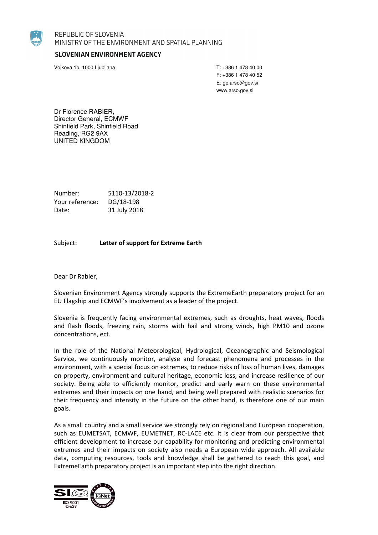

## REPUBLIC OF SLOVENIA MINISTRY OF THE ENVIRONMENT AND SPATIAL PLANNING

## **SLOVENIAN ENVIRONMENT AGENCY**

Vojkova 1b, 1000 Ljubljana T: +386 1 478 40 00

F: +386 1 478 40 52 E: gp.arso@gov.si www.arso.gov.si

Dr Florence RABIER, Director General, ECMWF Shinfield Park, Shinfield Road Reading, RG2 9AX UNITED KINGDOM

Number: 5110-13/2018-2 Your reference: DG/18-198 Date: 31 July 2018

Subject: Letter of support for Extreme Earth

Dear Dr Rabier,

Slovenian Environment Agency strongly supports the ExtremeEarth preparatory project for an EU Flagship and ECMWF's involvement as a leader of the project.

Slovenia is frequently facing environmental extremes, such as droughts, heat waves, floods and flash floods, freezing rain, storms with hail and strong winds, high PM10 and ozone concentrations, ect.

In the role of the National Meteorological, Hydrological, Oceanographic and Seismological Service, we continuously monitor, analyse and forecast phenomena and processes in the environment, with a special focus on extremes, to reduce risks of loss of human lives, damages on property, environment and cultural heritage, economic loss, and increase resilience of our society. Being able to efficiently monitor, predict and early warn on these environmental extremes and their impacts on one hand, and being well prepared with realistic scenarios for their frequency and intensity in the future on the other hand, is therefore one of our main goals.

As a small country and a small service we strongly rely on regional and European cooperation, such as EUMETSAT, ECMWF, EUMETNET, RC-LACE etc. It is clear from our perspective that efficient development to increase our capability for monitoring and predicting environmental extremes and their impacts on society also needs a European wide approach. All available data, computing resources, tools and knowledge shall be gathered to reach this goal, and ExtremeEarth preparatory project is an important step into the right direction.